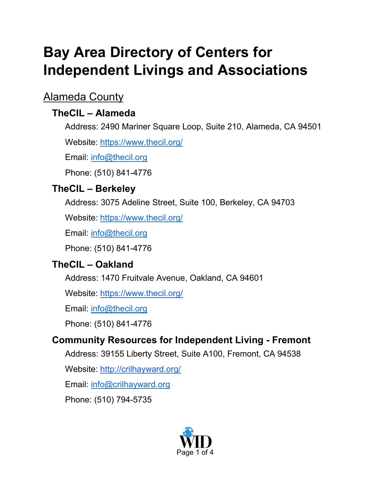# **Bay Area Directory of Centers for Independent Livings and Associations**

# Alameda County

# **TheCIL – Alameda**

Address: 2490 Mariner Square Loop, Suite 210, Alameda, CA 94501

Website:<https://www.thecil.org/>

Email: [info@thecil.org](mailto:info@thecil.org)

Phone: (510) 841-4776

# **TheCIL – Berkeley**

Address: 3075 Adeline Street, Suite 100, Berkeley, CA 94703

Website:<https://www.thecil.org/>

Email: [info@thecil.org](mailto:info@thecil.org)

Phone: (510) 841-4776

# **TheCIL – Oakland**

Address: 1470 Fruitvale Avenue, Oakland, CA 94601

Website:<https://www.thecil.org/>

Email: [info@thecil.org](mailto:info@thecil.org)

Phone: (510) 841-4776

# **Community Resources for Independent Living - Fremont**

Address: 39155 Liberty Street, Suite A100, Fremont, CA 94538

Website:<http://crilhayward.org/>

Email: <u>info@crilhayward.org</u>

Phone: (510) 794-5735

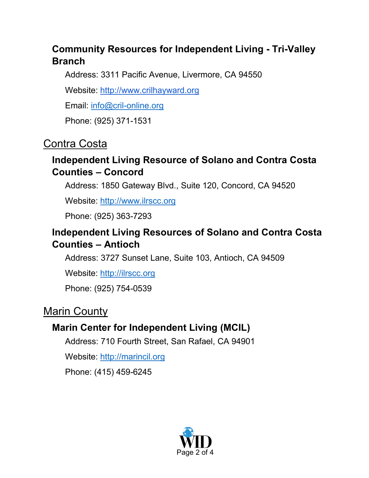## **Community Resources for Independent Living - Tri-Valley Branch**

Address: 3311 Pacific Avenue, Livermore, CA 94550

Website: http://www.crilhayward.org

Email: [info@cril-online.org](mailto:info@cril-online.org)

Phone: (925) 371-1531

# Contra Costa

#### **Independent Living Resource of Solano and Contra Costa Counties – Concord**

Address: 1850 Gateway Blvd., Suite 120, Concord, CA 94520

Website: [http://www.ilrscc.org](http://www.ilrscc.org/)

Phone: (925) 363-7293

#### **Independent Living Resources of Solano and Contra Costa Counties – Antioch**

Address: 3727 Sunset Lane, Suite 103, Antioch, CA 94509

Website: [http://ilrscc.org](website:%20http://ilrscc.org)

Phone: (925) 754-0539

# Marin County

#### **Marin Center for Independent Living (MCIL)**

Address: 710 Fourth Street, San Rafael, CA 94901

Website: [http://marincil.org](website:%20http://marincil.org)

Phone: (415) 459-6245

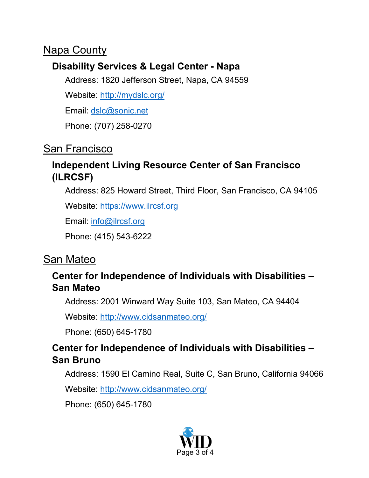# **Napa County**

#### **Disability Services & Legal Center - Napa**

Address: 1820 Jefferson Street, Napa, CA 94559

Website: <http://mydslc.org/>

Email: [dslc@sonic.net](mailto:dslc@sonic.net)

Phone: (707) 258-0270

# San Francisco

#### **Independent Living Resource Center of San Francisco (ILRCSF)**

Address: 825 Howard Street, Third Floor, San Francisco, CA 94105

Website: [https://www.ilrcsf.org](https://www.ilrcsf.org/)

Email: [info@ilrcsf.org](mailto:info@ilrcsf.org)

Phone: (415) 543-6222

# San Mateo

#### **Center for Independence of Individuals with Disabilities – San Mateo**

Address: 2001 Winward Way Suite 103, San Mateo, CA 94404

Website:<http://www.cidsanmateo.org/>

Phone: (650) 645-1780

#### **Center for Independence of Individuals with Disabilities – San Bruno**

Address: 1590 El Camino Real, Suite C, San Bruno, California 94066

Website: http://www.cidsanmateo.org/

Phone: (650) 645-1780